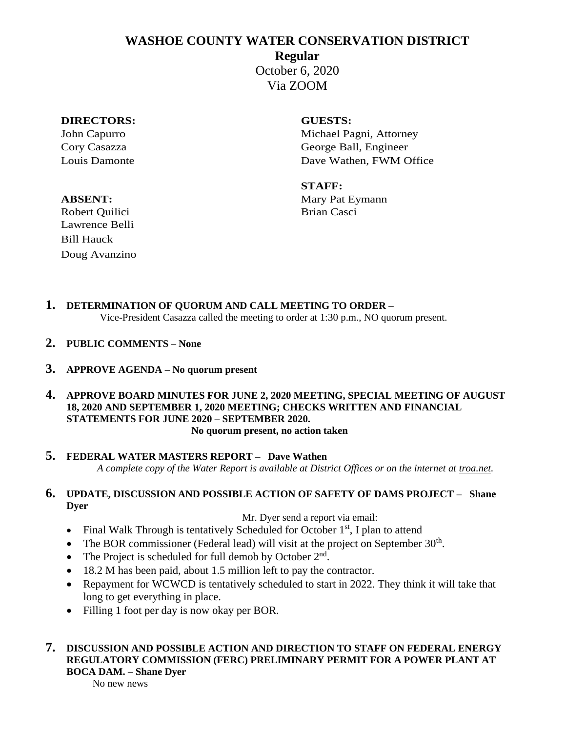# **WASHOE COUNTY WATER CONSERVATION DISTRICT**

**Regular**

October 6, 2020 Via ZOOM

## **DIRECTORS: GUESTS:**

John Capurro **Michael Pagni, Attorney** Cory Casazza George Ball, Engineer Louis Damonte Dave Wathen, FWM Office

**STAFF: ABSENT:** Mary Pat Eymann

Robert Quilici Brian Casci Lawrence Belli Bill Hauck Doug Avanzino

**1. DETERMINATION OF QUORUM AND CALL MEETING TO ORDER –** Vice-President Casazza called the meeting to order at 1:30 p.m., NO quorum present.

- **2. PUBLIC COMMENTS – None**
- **3. APPROVE AGENDA – No quorum present**
- **4. APPROVE BOARD MINUTES FOR JUNE 2, 2020 MEETING, SPECIAL MEETING OF AUGUST 18, 2020 AND SEPTEMBER 1, 2020 MEETING; CHECKS WRITTEN AND FINANCIAL STATEMENTS FOR JUNE 2020 – SEPTEMBER 2020. No quorum present, no action taken**
- **5. FEDERAL WATER MASTERS REPORT – Dave Wathen** *A complete copy of the Water Report is available at District Offices or on the internet at troa.net.*

## **6. UPDATE, DISCUSSION AND POSSIBLE ACTION OF SAFETY OF DAMS PROJECT – Shane Dyer**

Mr. Dyer send a report via email:

- Final Walk Through is tentatively Scheduled for October  $1<sup>st</sup>$ , I plan to attend
- The BOR commissioner (Federal lead) will visit at the project on September  $30<sup>th</sup>$ .
- The Project is scheduled for full demob by October  $2<sup>nd</sup>$ .
- 18.2 M has been paid, about 1.5 million left to pay the contractor.
- Repayment for WCWCD is tentatively scheduled to start in 2022. They think it will take that long to get everything in place.
- Filling 1 foot per day is now okay per BOR.

## **7. DISCUSSION AND POSSIBLE ACTION AND DIRECTION TO STAFF ON FEDERAL ENERGY REGULATORY COMMISSION (FERC) PRELIMINARY PERMIT FOR A POWER PLANT AT BOCA DAM. – Shane Dyer**

No new news